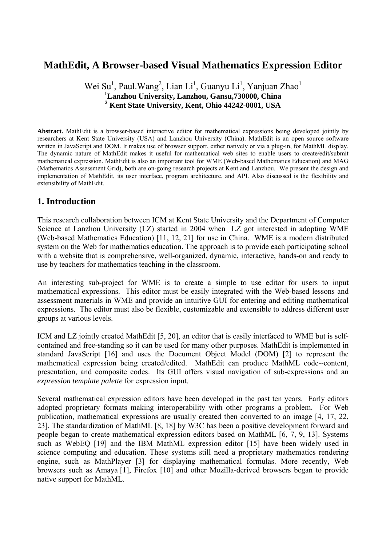# **MathEdit, A Browser-based Visual Mathematics Expression Editor**

## Wei Su<sup>1</sup>, Paul. Wang<sup>2</sup>, Lian Li<sup>1</sup>, Guanyu Li<sup>1</sup>, Yanjuan Zhao<sup>1</sup> **1 Lanzhou University, Lanzhou, Gansu,730000, China 2 Kent State University, Kent, Ohio 44242-0001, USA**

**Abstract.** MathEdit is a browser-based interactive editor for mathematical expressions being developed jointly by researchers at Kent State University (USA) and Lanzhou University (China). MathEdit is an open source software written in JavaScript and DOM. It makes use of browser support, either natively or via a plug-in, for MathML display. The dynamic nature of MathEdit makes it useful for mathematical web sites to enable users to create/edit/submit mathematical expression. MathEdit is also an important tool for WME (Web-based Mathematics Education) and MAG (Mathematics Assessment Grid), both are on-going research projects at Kent and Lanzhou. We present the design and implementation of MathEdit, its user interface, program architecture, and API. Also discussed is the flexibility and extensibility of MathEdit.

## **1. Introduction**

This research collaboration between ICM at Kent State University and the Department of Computer Science at Lanzhou University (LZ) started in 2004 when LZ got interested in adopting WME (Web-based Mathematics Education) [11, 12, 21] for use in China. WME is a modern distributed system on the Web for mathematics education. The approach is to provide each participating school with a website that is comprehensive, well-organized, dynamic, interactive, hands-on and ready to use by teachers for mathematics teaching in the classroom.

An interesting sub-project for WME is to create a simple to use editor for users to input mathematical expressions. This editor must be easily integrated with the Web-based lessons and assessment materials in WME and provide an intuitive GUI for entering and editing mathematical expressions. The editor must also be flexible, customizable and extensible to address different user groups at various levels.

ICM and LZ jointly created MathEdit [5, 20], an editor that is easily interfaced to WME but is selfcontained and free-standing so it can be used for many other purposes. MathEdit is implemented in standard JavaScript [16] and uses the Document Object Model (DOM) [2] to represent the mathematical expression being created/edited. MathEdit can produce MathML code--content, presentation, and composite codes. Its GUI offers visual navigation of sub-expressions and an *expression template palette* for expression input.

Several mathematical expression editors have been developed in the past ten years. Early editors adopted proprietary formats making interoperability with other programs a problem. For Web publication, mathematical expressions are usually created then converted to an image [4, 17, 22, 23]. The standardization of MathML [8, 18] by W3C has been a positive development forward and people began to create mathematical expression editors based on MathML [6, 7, 9, 13]. Systems such as WebEQ [19] and the IBM MathML expression editor [15] have been widely used in science computing and education. These systems still need a proprietary mathematics rendering engine, such as MathPlayer [3] for displaying mathematical formulas. More recently, Web browsers such as Amaya [1], Firefox [10] and other Mozilla-derived browsers began to provide native support for MathML.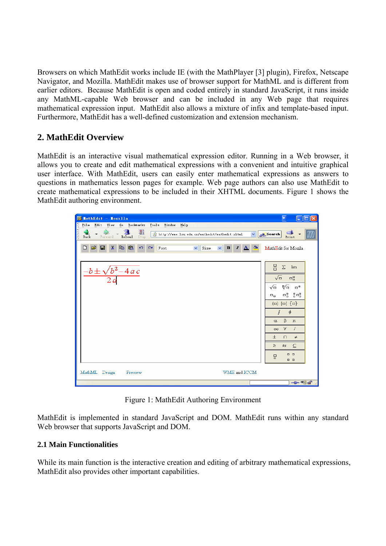Browsers on which MathEdit works include IE (with the MathPlayer [3] plugin), Firefox, Netscape Navigator, and Mozilla. MathEdit makes use of browser support for MathML and is different from earlier editors. Because MathEdit is open and coded entirely in standard JavaScript, it runs inside any MathML-capable Web browser and can be included in any Web page that requires mathematical expression input. MathEdit also allows a mixture of infix and template-based input. Furthermore, MathEdit has a well-defined customization and extension mechanism.

# **2. MathEdit Overview**

MathEdit is an interactive visual mathematical expression editor. Running in a Web browser, it allows you to create and edit mathematical expressions with a convenient and intuitive graphical user interface. With MathEdit, users can easily enter mathematical expressions as answers to questions in mathematics lesson pages for example. Web page authors can also use MathEdit to create mathematical expressions to be included in their XHTML documents. Figure 1 shows the MathEdit authoring environment.



Figure 1: MathEdit Authoring Environment

MathEdit is implemented in standard JavaScript and DOM. MathEdit runs within any standard Web browser that supports JavaScript and DOM.

#### **2.1 Main Functionalities**

While its main function is the interactive creation and editing of arbitrary mathematical expressions, MathEdit also provides other important capabilities.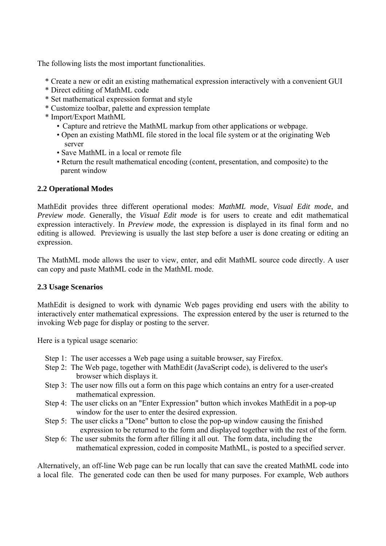The following lists the most important functionalities.

- \* Create a new or edit an existing mathematical expression interactively with a convenient GUI
- \* Direct editing of MathML code
- \* Set mathematical expression format and style
- \* Customize toolbar, palette and expression template
- \* Import/Export MathML
	- Capture and retrieve the MathML markup from other applications or webpage.
	- Open an existing MathML file stored in the local file system or at the originating Web server
	- Save MathML in a local or remote file
	- Return the result mathematical encoding (content, presentation, and composite) to the parent window

#### **2.2 Operational Modes**

MathEdit provides three different operational modes: *MathML mode*, *Visual Edit mode*, and *Preview mode*. Generally, the *Visual Edit mode* is for users to create and edit mathematical expression interactively. In *Preview mode*, the expression is displayed in its final form and no editing is allowed. Previewing is usually the last step before a user is done creating or editing an expression.

The MathML mode allows the user to view, enter, and edit MathML source code directly. A user can copy and paste MathML code in the MathML mode.

#### **2.3 Usage Scenarios**

MathEdit is designed to work with dynamic Web pages providing end users with the ability to interactively enter mathematical expressions. The expression entered by the user is returned to the invoking Web page for display or posting to the server.

Here is a typical usage scenario:

- Step 1: The user accesses a Web page using a suitable browser, say Firefox.
- Step 2: The Web page, together with MathEdit (JavaScript code), is delivered to the user's browser which displays it.
- Step 3: The user now fills out a form on this page which contains an entry for a user-created mathematical expression.
- Step 4: The user clicks on an "Enter Expression" button which invokes MathEdit in a pop-up window for the user to enter the desired expression.
- Step 5: The user clicks a "Done" button to close the pop-up window causing the finished expression to be returned to the form and displayed together with the rest of the form.
- Step 6: The user submits the form after filling it all out. The form data, including the mathematical expression, coded in composite MathML, is posted to a specified server.

Alternatively, an off-line Web page can be run locally that can save the created MathML code into a local file. The generated code can then be used for many purposes. For example, Web authors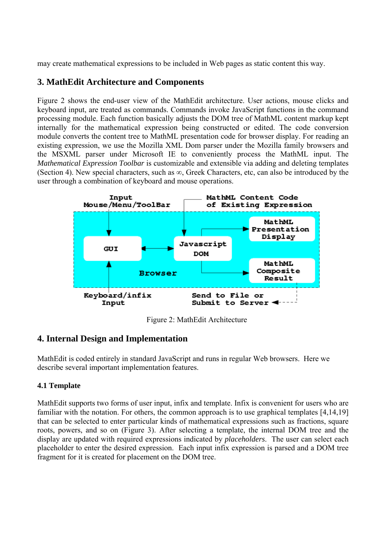may create mathematical expressions to be included in Web pages as static content this way.

# **3. MathEdit Architecture and Components**

Figure 2 shows the end-user view of the MathEdit architecture. User actions, mouse clicks and keyboard input, are treated as commands. Commands invoke JavaScript functions in the command processing module. Each function basically adjusts the DOM tree of MathML content markup kept internally for the mathematical expression being constructed or edited. The code conversion module converts the content tree to MathML presentation code for browser display. For reading an existing expression, we use the Mozilla XML Dom parser under the Mozilla family browsers and the MSXML parser under Microsoft IE to conveniently process the MathML input. The *Mathematical Expression Toolbar* is customizable and extensible via adding and deleting templates (Section 4). New special characters, such as  $\infty$ , Greek Characters, etc, can also be introduced by the user through a combination of keyboard and mouse operations.



Figure 2: MathEdit Architecture

### **4. Internal Design and Implementation**

MathEdit is coded entirely in standard JavaScript and runs in regular Web browsers. Here we describe several important implementation features.

### **4.1 Template**

MathEdit supports two forms of user input, infix and template. Infix is convenient for users who are familiar with the notation. For others, the common approach is to use graphical templates [4,14,19] that can be selected to enter particular kinds of mathematical expressions such as fractions, square roots, powers, and so on (Figure 3). After selecting a template, the internal DOM tree and the display are updated with required expressions indicated by *placeholders*. The user can select each placeholder to enter the desired expression. Each input infix expression is parsed and a DOM tree fragment for it is created for placement on the DOM tree.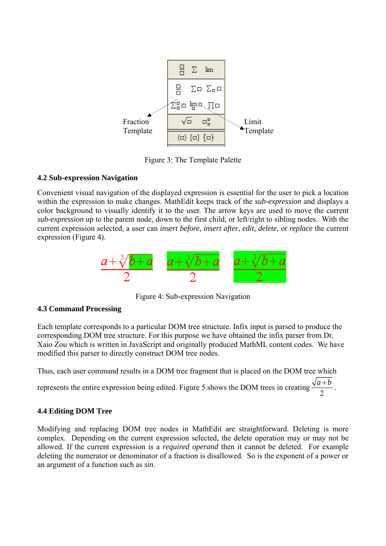

Figure 3: The Template Palette

### **4.2 Sub-expression Navigation**

Convenient visual navigation of the displayed expression is essential for the user to pick a location within the expression to make changes. MathEdit keeps track of the *sub-expression* and displays a color background to visually identify it to the user. The arrow keys are used to move the current *sub-expression* up to the parent node, down to the first child, or left/right to sibling nodes. With the current expression selected, a user can *insert before*, *insert after*, *edit*, *delete*, or *replace* the current expression (Figure 4).



Figure 4: Sub-expression Navigation

### **4.3 Command Processing**

Each template corresponds to a particular DOM tree structure. Infix input is parsed to produce the corresponding DOM tree structure. For this purpose we have obtained the infix parser from Dr. Xaio Zou which is written in JavaScript and originally produced MathML content codes. We have modified this parser to directly construct DOM tree nodes.

Thus, each user command results in a DOM tree fragment that is placed on the DOM tree which

represents the entire expression being edited. Figure 5 shows the DOM trees in creating  $\frac{\sqrt{a+b}}{2}$ .

### **4.4 Editing DOM Tree**

Modifying and replacing DOM tree nodes in MathEdit are straightforward. Deleting is more complex. Depending on the current expression selected, the delete operation may or may not be allowed. If the current expression is a *required operand* then it cannot be deleted. For example deleting the numerator or denominator of a fraction is disallowed. So is the exponent of a power or an argument of a function such as *sin*.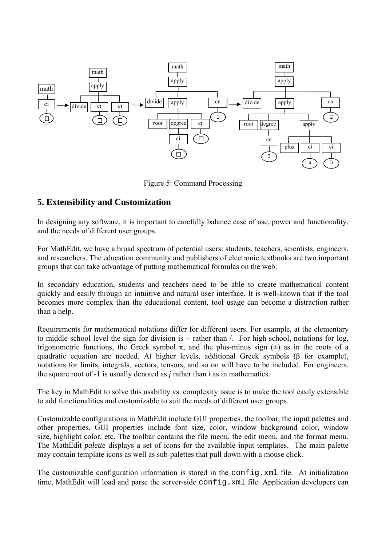

Figure 5: Command Processing

## **5. Extensibility and Customization**

In designing any software, it is important to carefully balance ease of use, power and functionality, and the needs of different user groups.

For MathEdit, we have a broad spectrum of potential users: students, teachers, scientists, engineers, and researchers. The education community and publishers of electronic textbooks are two important groups that can take advantage of putting mathematical formulas on the web.

In secondary education, students and teachers need to be able to create mathematical content quickly and easily through an intuitive and natural user interface. It is well-known that if the tool becomes more complex than the educational content, tool usage can become a distraction rather than a help.

Requirements for mathematical notations differ for different users. For example, at the elementary to middle school level the sign for division is  $\div$  rather than /. For high school, notations for log, trigonometric functions, the Greek symbol  $\pi$ , and the plus-minus sign  $(\pm)$  as in the roots of a quadratic equation are needed. At higher levels, additional Greek symbols (β for example), notations for limits, integrals, vectors, tensors, and so on will have to be included. For engineers, the square root of -1 is usually denoted as *j* rather than *i* as in mathematics.

The key in MathEdit to solve this usability vs. complexity issue is to make the tool easily extensible to add functionalities and customizable to suit the needs of different user groups.

Customizable configurations in MathEdit include GUI properties, the toolbar, the input palettes and other properties. GUI properties include font size, color, window background color, window size, highlight color, etc. The toolbar contains the file menu, the edit menu, and the format menu. The MathEdit *palette* displays a set of icons for the available input templates. The main palette may contain template icons as well as sub-palettes that pull down with a mouse click.

The customizable configuration information is stored in the config.xml file. At initialization time, MathEdit will load and parse the server-side config.xml file. Application developers can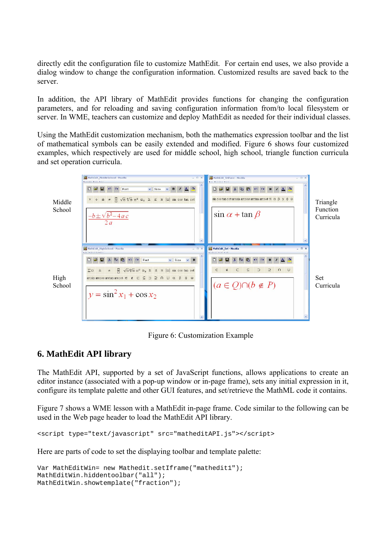directly edit the configuration file to customize MathEdit. For certain end uses, we also provide a dialog window to change the configuration information. Customized results are saved back to the server.

In addition, the API library of MathEdit provides functions for changing the configuration parameters, and for reloading and saving configuration information from/to local filesystem or server. In WME, teachers can customize and deploy MathEdit as needed for their individual classes.

Using the MathEdit customization mechanism, both the mathematics expression toolbar and the list of mathematical symbols can be easily extended and modified. Figure 6 shows four customized examples, which respectively are used for middle school, high school, triangle function curricula and set operation curricula.



Figure 6: Customization Example

### **6. MathEdit API library**

The MathEdit API, supported by a set of JavaScript functions, allows applications to create an editor instance (associated with a pop-up window or in-page frame), sets any initial expression in it, configure its template palette and other GUI features, and set/retrieve the MathML code it contains.

Figure 7 shows a WME lesson with a MathEdit in-page frame. Code similar to the following can be used in the Web page header to load the MathEdit API library.

script type="text/javascript" src="matheditAPI.js"></script> <

Here are parts of code to set the displaying toolbar and template palette:

```
ar MathEditWin= new Mathedit.setIframe("mathedit1"); 
V
MathEditWin.hiddentoolbar("all"); 
MathEditWin.showtemplate("fraction");
```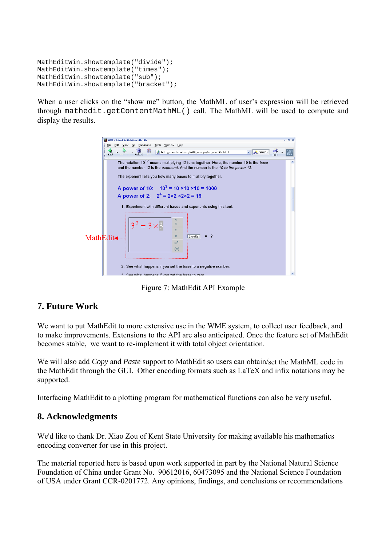```
MathEditWin.showtemplate("divide");
MathEditWin.showtemplate("times");
MathEditWin.showtemplate("sub"); 
MathEditWin.showtemplate("bracket");
```
When a user clicks on the "show me" button, the MathML of user's expression will be retrieved through mathedit.getContentMathML() call. The MathML will be used to compute and display the results.



Figure 7: MathEdit API Example

# **7. Future Work**

We want to put MathEdit to more extensive use in the WME system, to collect user feedback, and to make improvements. Extensions to the API are also anticipated. Once the feature set of MathEdit becomes stable, we want to re-implement it with total object orientation.

We will also add *Copy* and *Paste* support to MathEdit so users can obtain/set the MathML code in the MathEdit through the GUI. Other encoding formats such as LaTeX and infix notations may be supported.

Interfacing MathEdit to a plotting program for mathematical functions can also be very useful.

# **8. Acknowledgments**

We'd like to thank Dr. Xiao Zou of Kent State University for making available his mathematics encoding converter for use in this project.

The material reported here is based upon work supported in part by the National Natural Science Foundation of China under Grant No. 90612016, 60473095 and the National Science Foundation of USA under Grant CCR-0201772. Any opinions, findings, and conclusions or recommendations